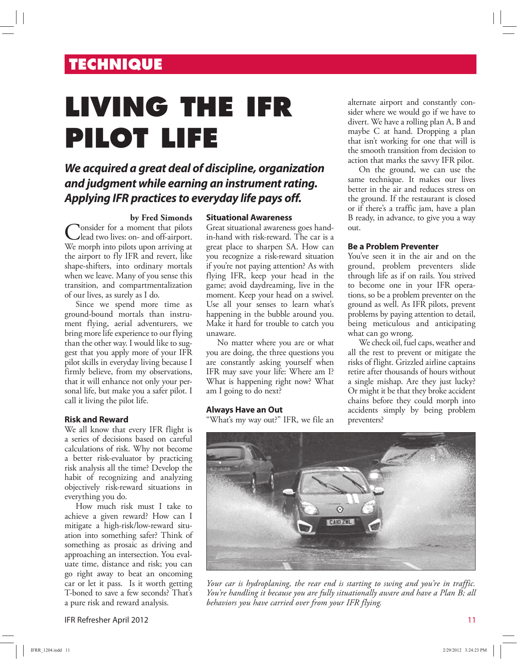# **TECHNIQUE**

# **LIVING THE IFR PILOT LIFE**

## **We acquired a great deal of discipline, organization and judgment while earning an instrument rating. Applying IFR practices to everyday life pays off.**

#### **by Fred Simonds**

Consider for a moment that pilots<br>We morph into pilots upon arriving at **Nonsider** for a moment that pilots lead two lives: on- and off-airport. the airport to fly IFR and revert, like shape-shifters, into ordinary mortals when we leave. Many of you sense this transition, and compartmentalization of our lives, as surely as I do.

Since we spend more time as ground-bound mortals than instrument flying, aerial adventurers, we bring more life experience to our flying than the other way. I would like to suggest that you apply more of your IFR pilot skills in everyday living because I firmly believe, from my observations, that it will enhance not only your personal life, but make you a safer pilot. I call it living the pilot life.

#### **Risk and Reward**

We all know that every IFR flight is a series of decisions based on careful calculations of risk. Why not become a better risk-evaluator by practicing risk analysis all the time? Develop the habit of recognizing and analyzing objectively risk-reward situations in everything you do.

How much risk must I take to achieve a given reward? How can I mitigate a high-risk/low-reward situation into something safer? Think of something as prosaic as driving and approaching an intersection. You evaluate time, distance and risk; you can go right away to beat an oncoming car or let it pass. Is it worth getting T-boned to save a few seconds? That's a pure risk and reward analysis.

#### **Situational Awareness**

Great situational awareness goes handin-hand with risk-reward. The car is a great place to sharpen SA. How can you recognize a risk-reward situation if you're not paying attention? As with flying IFR, keep your head in the game; avoid daydreaming, live in the moment. Keep your head on a swivel. Use all your senses to learn what's happening in the bubble around you. Make it hard for trouble to catch you unaware.

No matter where you are or what you are doing, the three questions you are constantly asking yourself when IFR may save your life: Where am I? What is happening right now? What am I going to do next?

#### **Always Have an Out**

"What's my way out?" IFR, we file an

alternate airport and constantly consider where we would go if we have to divert. We have a rolling plan A, B and maybe C at hand. Dropping a plan that isn't working for one that will is the smooth transition from decision to action that marks the savvy IFR pilot.

On the ground, we can use the same technique. It makes our lives better in the air and reduces stress on the ground. If the restaurant is closed or if there's a traffic jam, have a plan B ready, in advance, to give you a way out.

#### **Be a Problem Preventer**

You've seen it in the air and on the ground, problem preventers slide through life as if on rails. You strived to become one in your IFR operations, so be a problem preventer on the ground as well. As IFR pilots, prevent problems by paying attention to detail, being meticulous and anticipating what can go wrong.

We check oil, fuel caps, weather and all the rest to prevent or mitigate the risks of flight. Grizzled airline captains retire after thousands of hours without a single mishap. Are they just lucky? Or might it be that they broke accident chains before they could morph into accidents simply by being problem preventers?



*Your car is hydroplaning, the rear end is starting to swing and you're in traffic. You're handling it because you are fully situationally aware and have a Plan B; all behaviors you have carried over from your IFR flying.*

IFR Refresher April 2012 11